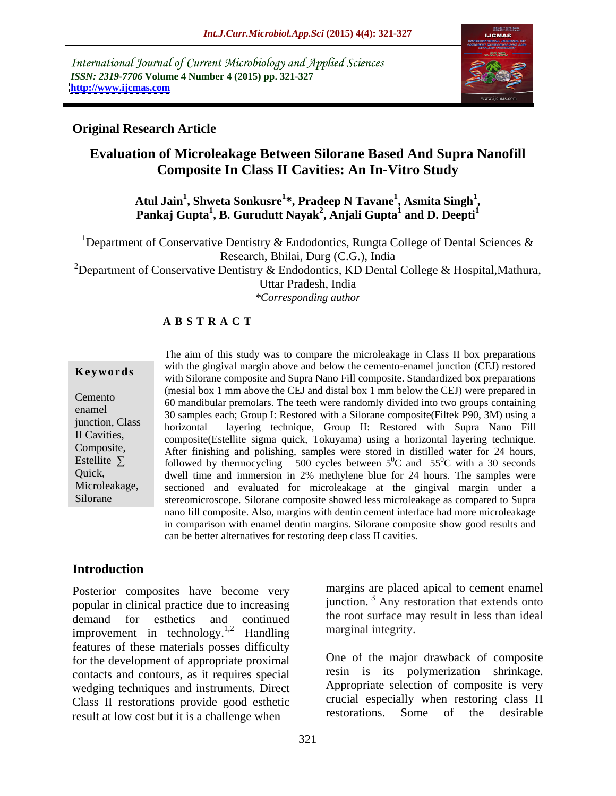International Journal of Current Microbiology and Applied Sciences *ISSN: 2319-7706* **Volume 4 Number 4 (2015) pp. 321-327 <http://www.ijcmas.com>**



# **Original Research Article**

# **Evaluation of Microleakage Between Silorane Based And Supra Nanofill Composite In Class II Cavities: An In-Vitro Study**

### $\boldsymbol{\mathrm{Aut}}$  Jain $^1$ , Shweta Sonkusre $^{1*}$ , Pradeep N Tavane $^1$ , Asmita Singh $^1$ , **, Asmita Singh<sup>1</sup>** Atul Jain<sup>1</sup>, Shweta Sonkusre<sup>1</sup>\*, Pradeep N Tavane<sup>1</sup>, Asmita Singh<sup>1</sup>,<br>Pankaj Gupta<sup>1</sup>, B. Gurudutt Nayak<sup>2</sup>, Anjali Gupta<sup>1</sup> and D. Deepti<sup>1</sup>  **and D. Deepti<sup>1</sup>**

<sup>1</sup>Department of Conservative Dentistry & Endodontics, Rungta College of Dental Sciences & Research, Bhilai, Durg (C.G.), India <sup>2</sup>Department of Conservative Dentistry & Endodontics, KD Dental College & Hospital, Mathura, Uttar Pradesh, India

*\*Corresponding author*

## **A B S T R A C T**

Silorane

The aim of this study was to compare the microleakage in Class II box preparations with the gingival margin above and below the cemento-enamel junction (CEJ) restored **Key words** with Silorane composite and Supra Nano Fill composite. Standardized box preparations with Silorane composite and Supra Nano Fill composite. Standardized box preparations (mesial box 1 mm above the CEJ and distal box 1 mm below the CEJ) were prepared in Exam box 1 min above the CES and distance of 1 min ociow the CES were prepared in<br>
60 mandibular premolars. The teeth were randomly divided into two groups containing enamel<br>30 samples each; Group I: Restored with a Silorane composite(Filtek P90, 3M) using a horizontal layering technique, Group II: Restored with Supra Nano Fill junction, Class II Cavities, composite(Estellite sigma quick, Tokuyama) using a horizontal layering technique. Composite, After finishing and polishing, samples were stored in distilled water for 24 hours, Estellite  $\Sigma$  followed by thermocycling 500 cycles between  $5^0C$  and  $55^0C$  with a 30 seconds  ${}^{0}C$  and 55<sup>0</sup>C with a 30 seconds  ${}^{0}C$  with a 30 seconds dwell time and immersion in 2% methylene blue for 24 hours. The samples were Quick, Microleakage, sectioned and evaluated for microleakage at the gingival margin under a stereomicroscope. Silorane composite showed less microleakage as compared to Supra nano fill composite. Also, margins with dentin cement interface had more microleakage in comparison with enamel dentin margins. Silorane composite show good results and can be better alternatives for restoring deep class II cavities.

# **Introduction**

Posterior composites have become very popular in clinical practice due to increasing demand for esthetics and continued the root surface may result in less than ideal improvement in technology.1,2 Handling features of these materials posses difficulty for the development of appropriate proximal contacts and contours, as it requires special wedging techniques and instruments. Direct Class II restorations provide good esthetic crucial especially when restoring class II<br>result at low cost but it is a challenge when restorations. Some of the desirable result at low cost but it is a challenge when

the root surface may result in less than ideal marginal integrity. One of the major drawback of composite

resin is its polymerization shrinkage. Appropriate selection of composite is very crucial especially when restoring class II restorations. Some of the desirable

margins are placed apical to cement enamel junction. <sup>3</sup> Any restoration that extends onto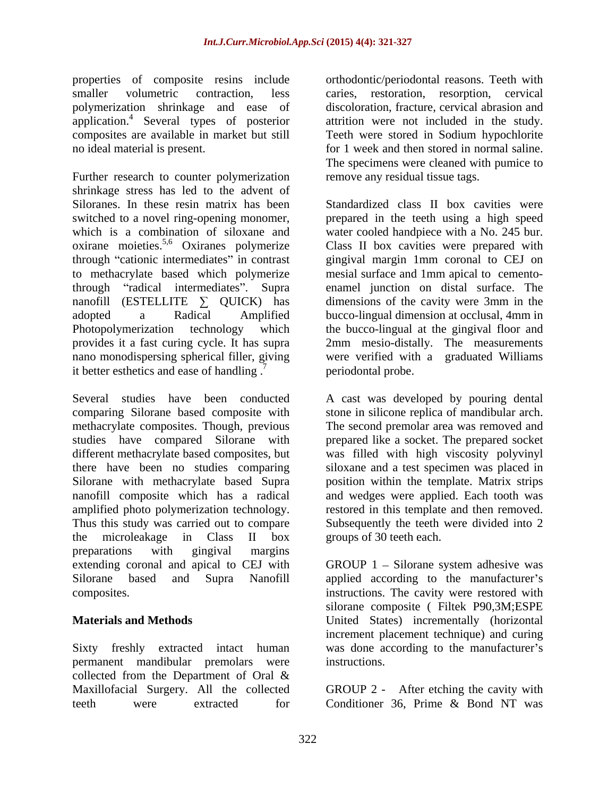properties of composite resins include orthodontic/periodontal reasons. Teeth with smaller volumetric contraction, less caries, restoration, resorption, cervical polymerization shrinkage and ease of application.4 Several types of posterior composites are available in market but still Teeth were stored in Sodium hypochlorite no ideal material is present. for 1 week and then stored in normal saline.

Further research to counter polymerization shrinkage stress has led to the advent of Siloranes. In these resin matrix has been Standardized class II box cavities were switched to a novel ring-opening monomer, prepared in the teeth using a high speed which is a combination of siloxane and oxirane moieties.5,6 Oxiranes polymerize through "cationic intermediates" in contrast to methacrylate based which polymerize through "radical intermediates". Supra enamel junction on distal surface. The nanofill (ESTELLITE  $\Sigma$  QUICK) has adopted a Radical Amplified bucco-lingual dimension at occlusal, 4mm in Photopolymerization technology which the bucco-lingual at the gingival floor and provides it a fast curing cycle. It has supra 2mm mesio-distally. The measurements nano monodispersing spherical filler, giving were verified with a graduated Williams it better esthetics and ease of handling.<sup>7</sup>

Several studies have been conducted A cast was developed by pouring dental comparing Silorane based composite with stone in silicone replica of mandibular arch. methacrylate composites. Though, previous The second premolar area was removed and studies have compared Silorane with prepared like a socket. The prepared socket different methacrylate based composites, but was filled with high viscosity polyvinyl there have been no studies comparing siloxane and a test specimen was placed in Silorane with methacrylate based Supra position within the template. Matrix strips nanofill composite which has a radical amplified photo polymerization technology. The restored in this template and then removed. Thus this study was carried out to compare Subsequently the teeth were divided into 2 the microleakage in Class II box preparations with gingival margins extending coronal and apical to CEJ with GROUP 1 – Silorane system adhesive was Silorane based and Supra Nanofill applied according to the manufacturer's

permanent mandibular premolars were collected from the Department of Oral & Maxillofacial Surgery. All the collected GROUP 2 - After etching the cavity with teeth were extracted for Conditioner 36. Prime & Bond NT was

discoloration, fracture, cervical abrasion and attrition were not included in the study. The specimens were cleaned with pumice to remove any residual tissue tags.

water cooled handpiece with a No. 245 bur. Class II box cavities were prepared with gingival margin 1mm coronal to CEJ on mesial surface and 1mm apical to cemento dimensions of the cavity were 3mm in the periodontal probe.

and wedges were applied. Each tooth was groups of 30 teeth each.

composites. instructions. The cavity were restored with **Materials and Methods** United States) incrementally (horizontal Sixty freshly extracted intact human was done according to the manufacturer's silorane composite ( Filtek P90,3M;ESPE increment placement technique) and curing instructions.

Conditioner 36, Prime & Bond NT was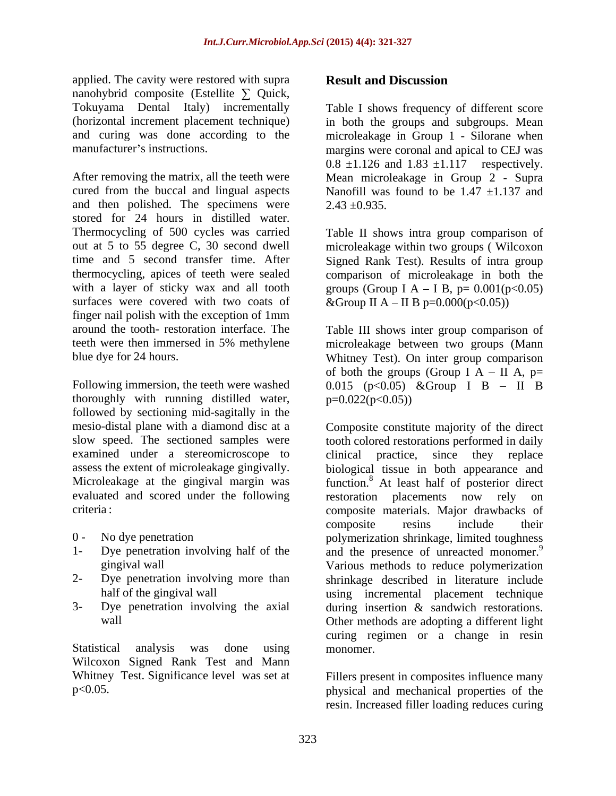applied. The cavity were restored with supra **Result and Discussion** nanohybrid composite (Estellite  $\Sigma$  Quick,

After removing the matrix, all the teeth were Mean microleakage in Group 2 - Supra cured from the buccal and lingual aspects Nanofill was found to be  $1.47 \pm 1.137$  and and then polished. The specimens were  $2.43 + 0.935$ . stored for 24 hours in distilled water. Thermocycling of 500 cycles was carried out at 5 to 55 degree C, 30 second dwell microleakage within two groups ( Wilcoxon time and 5 second transfer time. After Signed Rank Test). Results of intra group thermocycling, apices of teeth were sealed comparison of microleakage in both the with a layer of sticky wax and all tooth groups (Group  $I A - I B$ ,  $p = 0.001(p<0.05)$ surfaces were covered with two coats of finger nail polish with the exception of 1mm

thoroughly with running distilled water, followed by sectioning mid-sagitally in the evaluated and scored under the following

- 
- 
- 
- 

Wilcoxon Signed Rank Test and Mann Whitney Test. Significance level was set at Fillers present in composites influence many

# **Result and Discussion**

Tokuyama Dental Italy) incrementally Table I shows frequency of different score (horizontal increment placement technique) in both the groups and subgroups. Mean and curing was done according to the microleakage in Group 1 - Silorane when manufacturer's instructions. The margins were coronal and apical to CEJ was  $0.8 \pm 1.126$  and  $1.83 \pm 1.117$  respectively.  $2.43 \pm 0.935$ .

> Table II shows intra group comparison of &Group II A – II B p= $0.000(p<0.05)$ )

around the tooth- restoration interface. The Table III shows inter group comparison of teeth were then immersed in 5% methylene microleakage between two groups(Mann blue dye for 24 hours. Whitney Test). On inter group comparison Following immersion, the teeth were washed  $0.015$  (p<0.05) &Group I B - II B of both the groups (Group I A  $-$  II A, p=  $p=0.022(p<0.05)$ 

mesio-distal plane with a diamond disc at a Composite constitute majority of the direct slow speed. The sectioned samples were tooth colored restorations performed in daily examined under a stereomicroscope to clinical practice, since they replace assess the extent of microleakage gingivally. biological tissue in both appearance and Microleakage at the gingival margin was function.<sup>8</sup> At least half of posterior direct criteria : composite materials. Major drawbacks of 0 - No dye penetration polymerization shrinkage, limited toughness 1- Dye penetration involving half of the and the presence of unreacted monomer.<sup>9</sup> gingival wall Various methods to reduce polymerization 2- Dye penetration involving more than shrinkage described in literature include half of the gingival wall **using** incremental placement technique 3- Dye penetration involving the axial during insertion & sandwich restorations. wall Other methods are adopting a different light Statistical analysis was done using monomer. restoration placements now rely composite resins include their curing regimen or a change in resin monomer.

p<0.05. physical and mechanical properties of the resin. Increased filler loading reduces curing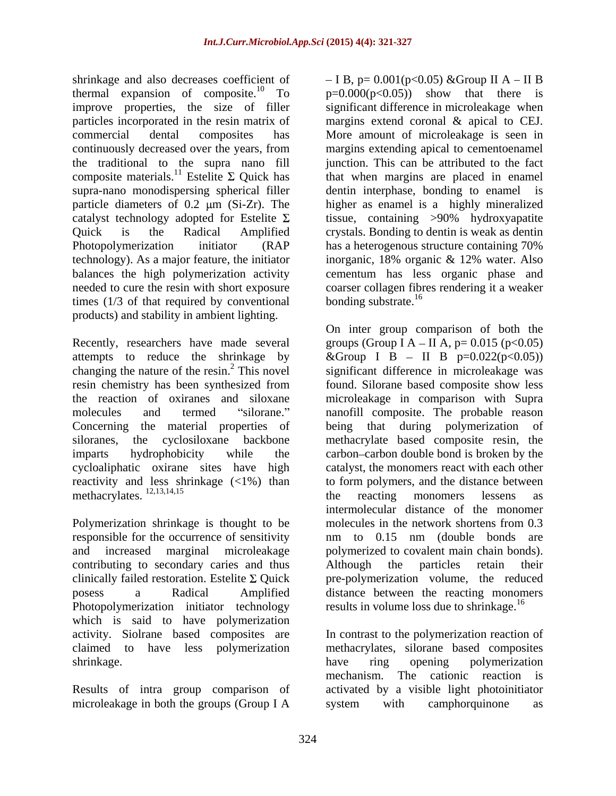shrinkage and also decreases coefficient of  $-I B$ ,  $p= 0.001(p<0.05)$  & Group II A – II B thermal expansion of composite.<sup>10</sup> To improve properties, the size of filler continuously decreased over the years, from composite materials.<sup>11</sup> Estelite  $\Sigma$  Quick has Photopolymerization initiator (RAP has a heterogenous structure containing 70%) times  $(1/3)$  of that required by conventional bonding substrate.<sup>16</sup> products) and stability in ambient lighting.

attempts to reduce the shrinkage by  $\&$  Group I B – II B p=0.022(p<0.05)) changing the nature of the resin.<sup>2</sup> This novel significant difference in microleakage was Concerning the material properties of being that during polymerization of methacrylates.  $^{12,13,14,15}$  the reacting monomers lessens as

Polymerization shrinkage is thought to be molecules in the network shortens from 0.3 responsible for the occurrence of sensitivity and to 0.15 nm (double bonds are contributing to secondary caries and thus Although the particles retain their Photopolymerization initiator technology which is said to have polymerization activity. Siolrane based composites are In contrast to the polymerization reaction of claimed to have less polymerization methacrylates, silorane based composites shrinkage. The same share that the set of the set of the set of the set of the set of the set of the set of the set of the set of the set of the set of the set of the set of the set of the set of the set of the set of the

Results of intra group comparison of microleakage in both the groups (Group I A system with camphorquinone as

improve properties, the size of filler significant difference in microleakage when particles incorporated in the resin matrix of margins extend coronal & apical to CEJ. commercial dental composites has More amount of microleakage is seen in the traditional to the supra nano fill junction. Thiscan be attributed to the fact supra-nano monodispersing spherical filler dentin interphase, bonding to enamel is particle diameters of  $0.2 \mu m$  (Si-Zr). The higher as enamel is a highly mineralized catalyst technology adopted for Estelite  $\Sigma$  issue, containing >90% hydroxyapatite Quick is the Radical Amplified crystals. Bonding to dentin is weak as dentin technology). As a major feature, the initiator inorganic, 18% organic & 12% water. Also balances the high polymerization activity cementum has less organic phase and needed to cure the resin with short exposure coarser collagen fibres rendering it a weaker  $p=0.000(p<0.05)$  show that there is margins extending apical to cementoenamel that when margins are placed in enamel has a heterogenous structure containing 70% bonding substrate.<sup>16</sup>

Recently, researchers have made several groups (Group  $I A - II A$ ,  $p = 0.015$  ( $p < 0.05$ ) resin chemistry has been synthesized from found. Silorane based composite show less the reaction of oxiranes and siloxane microleakage in comparison with Supra molecules and termed "silorane." nanofill composite. The probable reason siloranes, the cyclosiloxane backbone methacrylate based composite resin, the imparts hydrophobicity while the carbon carbon double bond is broken by the cycloaliphatic oxirane sites have high catalyst, the monomers react with each other reactivity and less shrinkage (<1%) than to form polymers, and the distance between and increased marginal microleakage polymerized to covalent main chain bonds). clinically failed restoration. Estelite  $\Sigma$  Quick pre-polymerization volume, the reduced posess a Radical Amplified distance between the reacting monomers On inter group comparison of both the &Group I B – II B p=0.022(p<0.05)) significant difference in microleakage was found. Silorane based composite show less being that during polymerization of the reacting monomers lessens as intermolecular distance of the monomer molecules in the network shortens from 0.3 nm to 0.15 nm (double bonds are Although the particles retain their results in volume loss due to shrinkage.<sup>16</sup>

> have ring opening polymerization mechanism. The cationic reaction is activated by a visible light photoinitiator system with camphorquinone as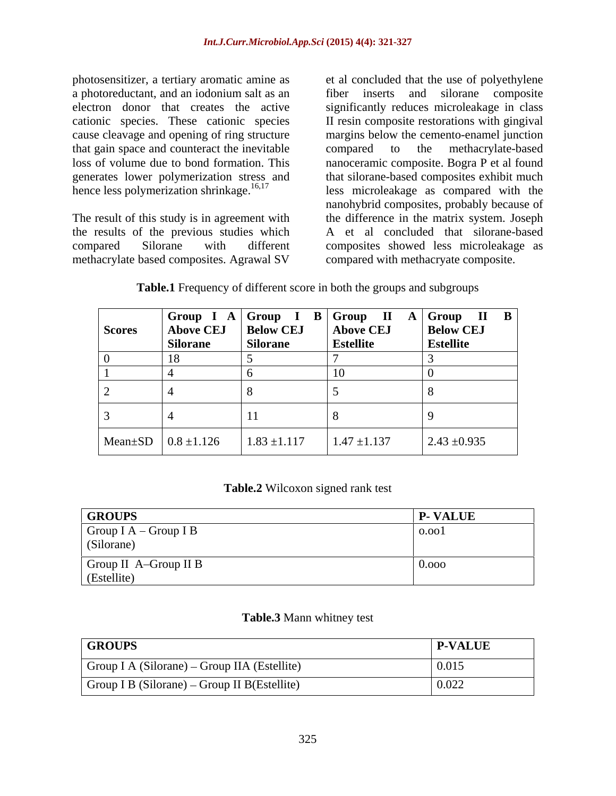photosensitizer, a tertiary aromatic amine as et al concluded that the use of polyethylene a photoreductant, and an iodonium salt as an cause cleavage and opening of ring structure that gain space and counteract the inevitable compared to the methacrylate-based hence less polymerization shrinkage. $16,17$ 

The result of this study is in agreement with the results of the previous studies which methacrylate based composites. Agrawal SV

electron donor that creates the active significantly reduces microleakage in class cationic species. These cationic species II resin composite restorations with gingival loss of volume due to bond formation. This nanoceramic composite. Bogra P et al found generates lower polymerization stress and that silorane-based composites exhibit much compared Silorane with different composites showed less microleakage as fiber inserts and silorane composite margins below the cemento-enamel junction compared to the methacrylate-based less microleakage as compared with the nanohybrid composites, probably because of the difference in the matrix system. Joseph A et al concluded that silorane-based compared with methacryate composite.

| <b>Scores</b> | <b>Silorane</b>                       | <b>Silorane</b>                   | <b>Estellite</b> | <b>Estellite</b> |
|---------------|---------------------------------------|-----------------------------------|------------------|------------------|
|               |                                       |                                   |                  |                  |
|               |                                       |                                   |                  |                  |
|               |                                       |                                   |                  |                  |
|               |                                       |                                   |                  |                  |
|               | Mean $\pm$ SD $\vert$ 0.8 $\pm$ 1.126 | $1.83 \pm 1.117$ $1.47 \pm 1.137$ |                  | $2.43 \pm 0.935$ |

**Table.1** Frequency of different score in both the groups and subgroups

**Table.2** Wilcoxon signed rank test

| <b>GROUPS</b>                 | <b>P-VALUE</b> |
|-------------------------------|----------------|
| $\vert$ Group I A – Group I B | 0.001          |
| (Silorane)                    |                |
| Group II A-Group II B         | v.vvv          |
| $\mathsf{I}$ (Estellite)      |                |

### **Table.3** Mann whitney test

| <b>GROUPS</b>                                        | <b>P-VALUE</b> |
|------------------------------------------------------|----------------|
| $\vert$ Group I A (Silorane) – Group IIA (Estellite) | 0.015          |
| $\vert$ Group I B (Silorane) – Group II B(Estellite) | 0.022          |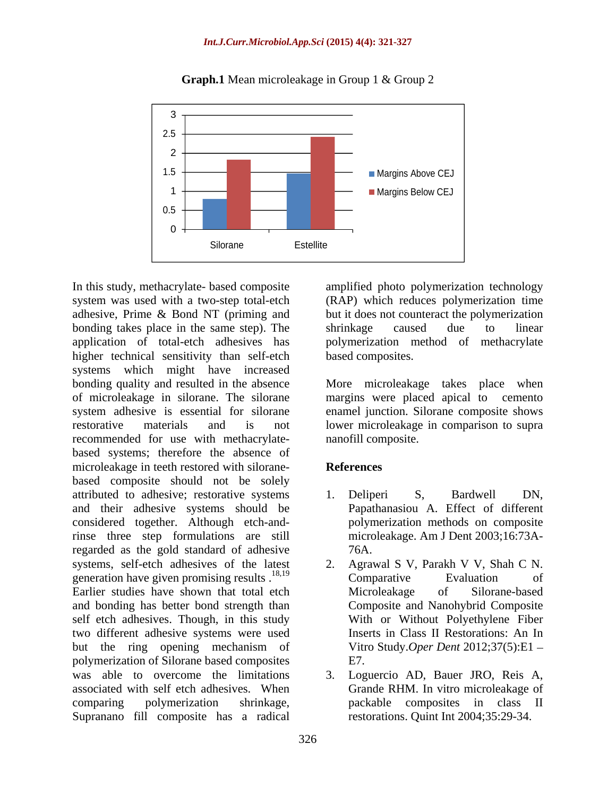

## **Graph.1** Mean microleakage in Group 1 & Group 2

In this study, methacrylate- based composite amplified photo polymerization technology system was used with a two-step total-etch (RAP) which reduces polymerization time adhesive, Prime & Bond NT (priming and bonding takes place in the same step). The shrinkage caused due to linear application of total-etch adhesives has polymerization method of methacrylate higher technical sensitivity than self-etch systems which might have increased bonding quality and resulted in the absence More microleakage takes place when of microleakage in silorane. The silorane margins were placed apical to cemento system adhesive is essential for silorane enamel junction. Silorane composite shows restorative materials and is not lower microleakage in comparison to supra recommended for use with methacrylate based systems; therefore the absence of microleakage in teeth restored with silorane-<br>References based composite should not be solely attributed to adhesive; restorative systems 1. Deliperi S, Bardwell DN, and their adhesive systems should be considered together. Although etch-andrinse three step formulations are still regarded as the gold standard of adhesive systems, self-etch adhesives of the latest 2. generation have given promising results  $^{18,19}$  Comparative Evaluation of Earlier studies have shown that total etch Microleakage of Silorane-based and bonding has better bond strength than self etch adhesives. Though, in this study two different adhesive systems were used but the ring opening mechanism of polymerization of Silorane based composites was able to overcome the limitations 3. Loguercio AD, Bauer JRO, Reis A, associated with self etch adhesives. When comparing polymerization shrinkage, Supranano fill composite has a radical

but it does not counteract the polymerization shrinkage caused due to linear based composites.

nanofill composite.

# **References**

- 1. Deliperi S, Bardwell DN, Papathanasiou A. Effect of different polymerization methods on composite microleakage. Am J Dent 2003;16:73A- 76A.
- 2. Agrawal S V, Parakh V V, Shah C N. Comparative Evaluation of Microleakage of Silorane-based Composite and Nanohybrid Composite With or Without Polyethylene Fiber Inserts in Class II Restorations: An In Vitro Study.*Oper Dent* 2012;37(5):E1 E7.
- Grande RHM. In vitro microleakage of packable composites in class II restorations. Quint Int 2004;35:29-34.